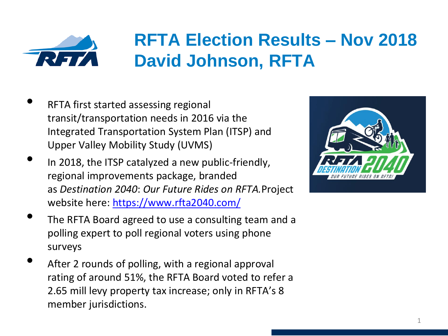

## **RFTA Election Results – Nov 2018 David Johnson, RFTA**

- RFTA first started assessing regional transit/transportation needs in 2016 via the Integrated Transportation System Plan (ITSP) and Upper Valley Mobility Study (UVMS)
- In 2018, the ITSP catalyzed a new public-friendly, regional improvements package, branded as *Destination 2040*: *Our Future Rides on RFTA.*Project website here: <https://www.rfta2040.com/>
- The RFTA Board agreed to use a consulting team and a polling expert to poll regional voters using phone surveys
- After 2 rounds of polling, with a regional approval rating of around 51%, the RFTA Board voted to refer a 2.65 mill levy property tax increase; only in RFTA's 8 member jurisdictions.

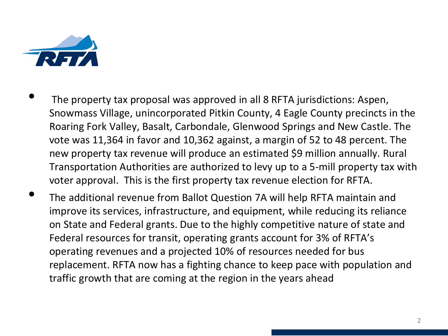

- The property tax proposal was approved in all 8 RFTA jurisdictions: Aspen, Snowmass Village, unincorporated Pitkin County, 4 Eagle County precincts in the Roaring Fork Valley, Basalt, Carbondale, Glenwood Springs and New Castle. The vote was 11,364 in favor and 10,362 against, a margin of 52 to 48 percent. The new property tax revenue will produce an estimated \$9 million annually. Rural Transportation Authorities are authorized to levy up to a 5-mill property tax with voter approval. This is the first property tax revenue election for RFTA.
- The additional revenue from Ballot Question 7A will help RFTA maintain and improve its services, infrastructure, and equipment, while reducing its reliance on State and Federal grants. Due to the highly competitive nature of state and Federal resources for transit, operating grants account for 3% of RFTA's operating revenues and a projected 10% of resources needed for bus replacement. RFTA now has a fighting chance to keep pace with population and traffic growth that are coming at the region in the years ahead